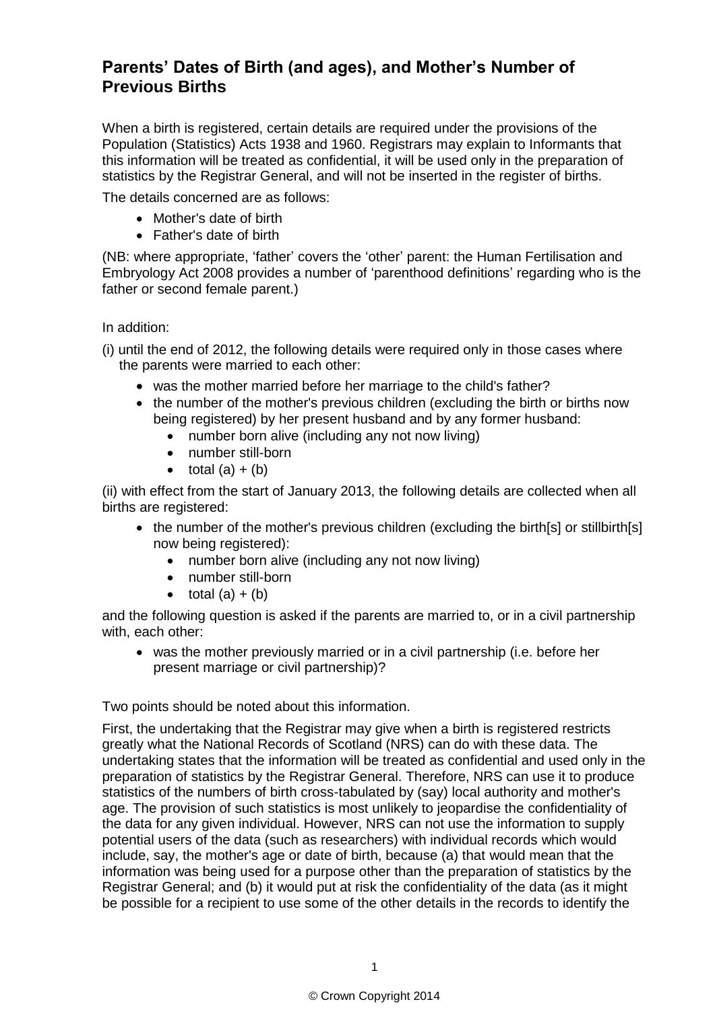## **Parents' Dates of Birth (and ages), and Mother's Number of Previous Births**

When a birth is registered, certain details are required under the provisions of the Population (Statistics) Acts 1938 and 1960. Registrars may explain to Informants that this information will be treated as confidential, it will be used only in the preparation of statistics by the Registrar General, and will not be inserted in the register of births.

The details concerned are as follows:

- Mother's date of birth
- Father's date of birth

(NB: where appropriate, 'father' covers the 'other' parent: the Human Fertilisation and Embryology Act 2008 provides a number of 'parenthood definitions' regarding who is the father or second female parent.)

In addition:

- (i) until the end of 2012, the following details were required only in those cases where the parents were married to each other:
	- was the mother married before her marriage to the child's father?
	- the number of the mother's previous children (excluding the birth or births now being registered) by her present husband and by any former husband:
		- number born alive (including any not now living)
		- number still-born
		- $\bullet$  total  $(a) + (b)$

(ii) with effect from the start of January 2013, the following details are collected when all births are registered:

- the number of the mother's previous children (excluding the birth[s] or stillbirth[s] now being registered):
	- number born alive (including any not now living)
	- number still-born
	- $\bullet$  total  $(a) + (b)$

and the following question is asked if the parents are married to, or in a civil partnership with, each other:

 was the mother previously married or in a civil partnership (i.e. before her present marriage or civil partnership)?

Two points should be noted about this information.

First, the undertaking that the Registrar may give when a birth is registered restricts greatly what the National Records of Scotland (NRS) can do with these data. The undertaking states that the information will be treated as confidential and used only in the preparation of statistics by the Registrar General. Therefore, NRS can use it to produce statistics of the numbers of birth cross-tabulated by (say) local authority and mother's age. The provision of such statistics is most unlikely to jeopardise the confidentiality of the data for any given individual. However, NRS can not use the information to supply potential users of the data (such as researchers) with individual records which would include, say, the mother's age or date of birth, because (a) that would mean that the information was being used for a purpose other than the preparation of statistics by the Registrar General; and (b) it would put at risk the confidentiality of the data (as it might be possible for a recipient to use some of the other details in the records to identify the